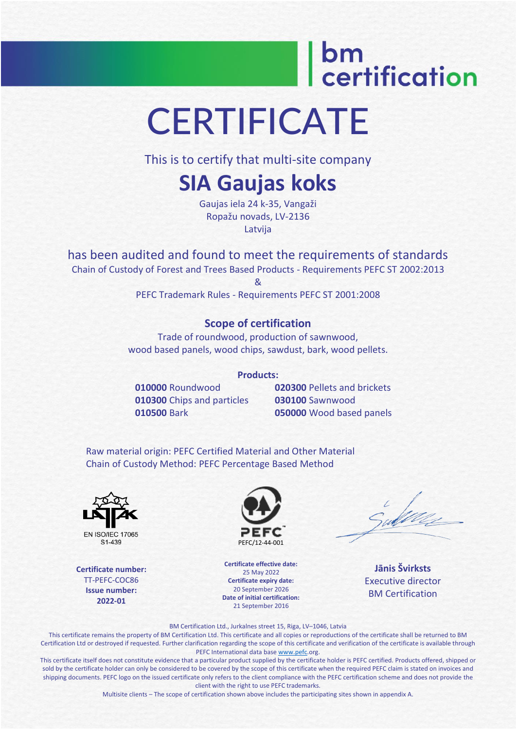## bm<br>| certification **CERTIFICATE**

This is to certify that multi-site company

### **SIA Gaujas koks**

Gaujas iela 24 k-35, Vangaži Ropažu novads, LV-2136 Latvija

has been audited and found to meet the requirements of standards

Chain of Custody of Forest and Trees Based Products - Requirements PEFC ST 2002:2013 &

PEFC Trademark Rules - Requirements PEFC ST 2001:2008

#### **Scope of certification**

Trade of roundwood, production of sawnwood, wood based panels, wood chips, sawdust, bark, wood pellets.

#### **Products:**

**010000** Roundwood **010300** Chips and particles **010500** Bark

**020300** Pellets and brickets **030100** Sawnwood **050000** Wood based panels

Raw material origin: PEFC Certified Material and Other Material Chain of Custody Method: PEFC Percentage Based Method



S<sub>1</sub>-439

**Certificate number:** TT-PEFC-COC86 **Issue number: 2022-01**



**Certificate effective date:** 25 May 2022 **Certificate expiry date:** 20 September 2026 **Date of initial certification:** 21 September 2016

**Jānis Švirksts** Executive director BM Certification

BM Certification Ltd., Jurkalnes street 15, Riga, LV–1046, Latvia

This certificate remains the property of BM Certification Ltd. This certificate and all copies or reproductions of the certificate shall be returned to BM Certification Ltd or destroyed if requested. Further clarification regarding the scope of this certificate and verification of the certificate is available through PEFC International data bas[e www.pefc.o](http://www.pefc/)rg.

This certificate itself does not constitute evidence that a particular product supplied by the certificate holder is PEFC certified. Products offered, shipped or sold by the certificate holder can only be considered to be covered by the scope of this certificate when the required PEFC claim is stated on invoices and shipping documents. PEFC logo on the issued certificate only refers to the client compliance with the PEFC certification scheme and does not provide the client with the right to use PEFC trademarks.

Multisite clients – The scope of certification shown above includes the participating sites shown in appendix A.